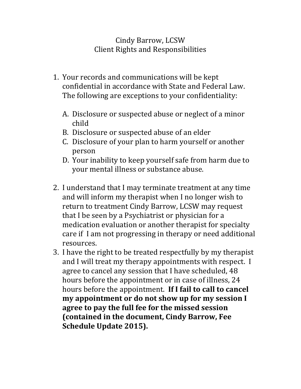## Cindy Barrow, LCSW Client Rights and Responsibilities

- 1. Your records and communications will be kept confidential in accordance with State and Federal Law. The following are exceptions to your confidentiality:
	- A. Disclosure or suspected abuse or neglect of a minor child
	- B. Disclosure or suspected abuse of an elder
	- C. Disclosure of your plan to harm yourself or another person
	- D. Your inability to keep yourself safe from harm due to your mental illness or substance abuse.
- 2. I understand that I may terminate treatment at any time and will inform my therapist when I no longer wish to return to treatment Cindy Barrow, LCSW may request that I be seen by a Psychiatrist or physician for a medication evaluation or another therapist for specialty care if I am not progressing in therapy or need additional resources.
- 3. I have the right to be treated respectfully by my therapist and I will treat my therapy appointments with respect. I agree to cancel any session that I have scheduled, 48 hours before the appointment or in case of illness, 24 hours before the appointment. **If I fail to call to cancel my appointment or do not show up for my session I agree to pay the full fee for the missed session (contained in the document, Cindy Barrow, Fee Schedule Update 2015).**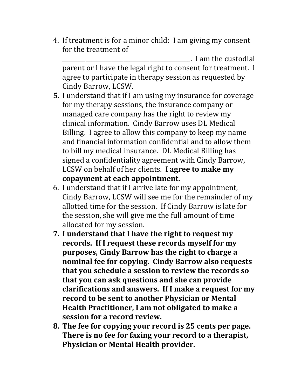4. If treatment is for a minor child: I am giving my consent for the treatment of

 $\Box$  I am the custodial parent or I have the legal right to consent for treatment. I agree to participate in therapy session as requested by Cindy Barrow, LCSW.

- **5.** I understand that if I am using my insurance for coverage for my therapy sessions, the insurance company or managed care company has the right to review my clinical information. Cindy Barrow uses DL Medical Billing. I agree to allow this company to keep my name and financial information confidential and to allow them to bill my medical insurance. DL Medical Billing has signed a confidentiality agreement with Cindy Barrow, LCSW on behalf of her clients. **I agree to make my copayment at each appointment.**
- 6. I understand that if I arrive late for my appointment, Cindy Barrow, LCSW will see me for the remainder of my allotted time for the session. If Cindy Barrow is late for the session, she will give me the full amount of time allocated for my session.
- **7. I understand that I have the right to request my records. If I request these records myself for my purposes, Cindy Barrow has the right to charge a nominal fee for copying. Cindy Barrow also requests that you schedule a session to review the records so that you can ask questions and she can provide clarifications and answers. If I make a request for my record to be sent to another Physician or Mental Health Practitioner, I am not obligated to make a session for a record review.**
- **8. The fee for copying your record is 25 cents per page. There is no fee for faxing your record to a therapist, Physician or Mental Health provider.**